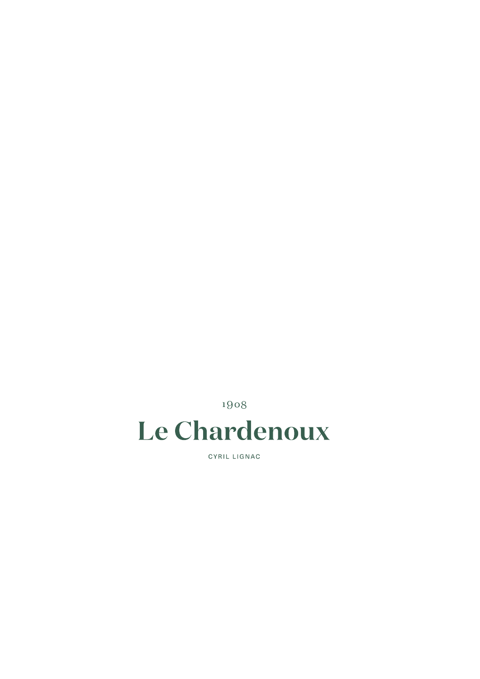1908

# Le Chardenoux

CYRIL LIGNAC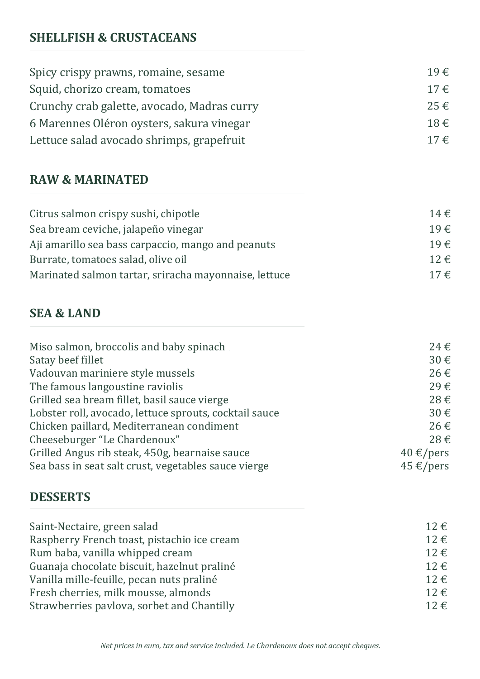## **SHELLFISH & CRUSTACEANS**

| Spicy crispy prawns, romaine, sesame        | 19€      |
|---------------------------------------------|----------|
| Squid, chorizo cream, tomatoes              | $17 \in$ |
| Crunchy crab galette, avocado, Madras curry | $25 \in$ |
| 6 Marennes Oléron oysters, sakura vinegar   | 18€      |
| Lettuce salad avocado shrimps, grapefruit   | $17 \in$ |

#### **RAW & MARINATED**

| Citrus salmon crispy sushi, chipotle                  | $14 \in$    |
|-------------------------------------------------------|-------------|
| Sea bream ceviche, jalapeño vinegar                   | $19 \notin$ |
| Aji amarillo sea bass carpaccio, mango and peanuts    | $19 \notin$ |
| Burrate, tomatoes salad, olive oil                    | $12 \notin$ |
| Marinated salmon tartar, sriracha mayonnaise, lettuce | $17 \in$    |

### **SEA & LAND**

| Miso salmon, broccolis and baby spinach                | 24€                 |
|--------------------------------------------------------|---------------------|
| Satay beef fillet                                      | 30€                 |
| Vadouvan mariniere style mussels                       | 26€                 |
| The famous langoustine raviolis                        | 29€                 |
| Grilled sea bream fillet, basil sauce vierge           | 28€                 |
| Lobster roll, avocado, lettuce sprouts, cocktail sauce | 30€                 |
| Chicken paillard, Mediterranean condiment              | 26€                 |
| Cheeseburger "Le Chardenoux"                           | 28€                 |
| Grilled Angus rib steak, 450g, bearnaise sauce         | $40 \text{ E/pers}$ |
| Sea bass in seat salt crust, vegetables sauce vierge   | $45 \text{ E/pers}$ |

#### **DESSERTS**

| Saint-Nectaire, green salad                 | $12 \text{ } \in$ |
|---------------------------------------------|-------------------|
| Raspberry French toast, pistachio ice cream | $12 \text{ } \in$ |
| Rum baba, vanilla whipped cream             | $12 \in$          |
| Guanaja chocolate biscuit, hazelnut praliné | $12 \text{ } \in$ |
| Vanilla mille-feuille, pecan nuts praliné   | $12 \text{ } \in$ |
| Fresh cherries, milk mousse, almonds        | $12 \text{ } \in$ |
| Strawberries pavlova, sorbet and Chantilly  | $12 \notin$       |
|                                             |                   |